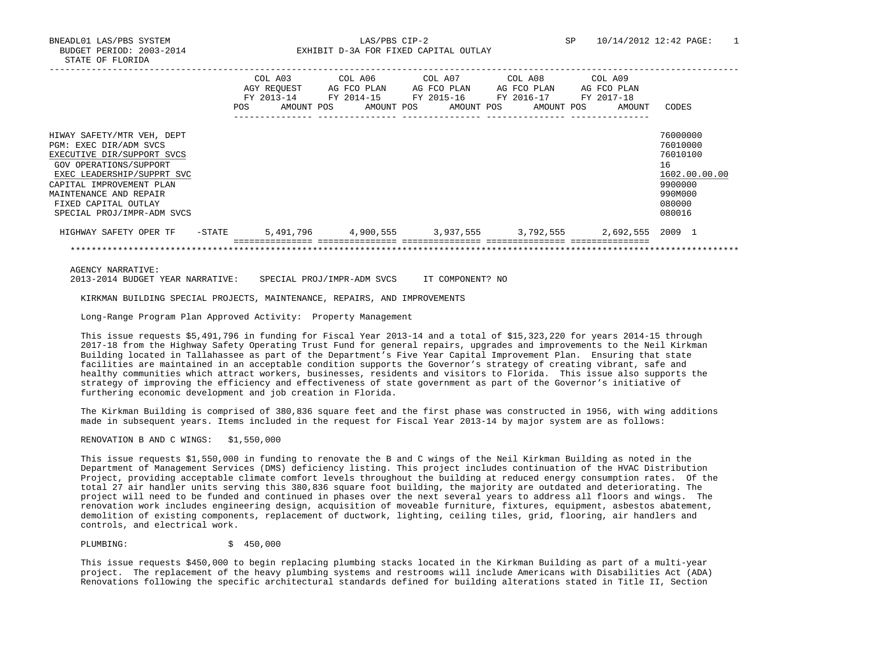|                                                                                                                                                                                                                                                        | <b>POS</b> | COL A03<br>AGY REOUEST<br>FY 2013-14<br>AMOUNT POS | COL A06<br>AG FCO PLAN<br>FY 2014-15 | AMOUNT POS | COL A07<br>AG FCO PLAN<br>FY 2015-16<br>AMOUNT POS | COL A08<br>AG FCO PLAN<br>FY 2016-17<br>AMOUNT POS | COL A09<br>AG FCO PLAN<br>FY 2017-18 | AMOUNT | CODES                                                                                             |
|--------------------------------------------------------------------------------------------------------------------------------------------------------------------------------------------------------------------------------------------------------|------------|----------------------------------------------------|--------------------------------------|------------|----------------------------------------------------|----------------------------------------------------|--------------------------------------|--------|---------------------------------------------------------------------------------------------------|
| HIWAY SAFETY/MTR VEH, DEPT<br>PGM: EXEC DIR/ADM SVCS<br>EXECUTIVE DIR/SUPPORT SVCS<br>GOV OPERATIONS/SUPPORT<br>EXEC LEADERSHIP/SUPPRT SVC<br>CAPITAL IMPROVEMENT PLAN<br>MAINTENANCE AND REPAIR<br>FIXED CAPITAL OUTLAY<br>SPECIAL PROJ/IMPR-ADM SVCS |            |                                                    |                                      |            |                                                    |                                                    |                                      |        | 76000000<br>76010000<br>76010100<br>16<br>1602.00.00.00<br>9900000<br>990M000<br>080000<br>080016 |
| HIGHWAY SAFETY OPER TF                                                                                                                                                                                                                                 | -STATE     | 5,491,796                                          |                                      | 4,900,555  |                                                    | 3,937,555 3,792,555                                |                                      |        | 2,692,555 2009 1                                                                                  |
|                                                                                                                                                                                                                                                        |            |                                                    |                                      |            |                                                    |                                                    |                                      |        |                                                                                                   |

AGENCY NARRATIVE:

2013-2014 BUDGET YEAR NARRATIVE: SPECIAL PROJ/IMPR-ADM SVCS IT COMPONENT? NO

KIRKMAN BUILDING SPECIAL PROJECTS, MAINTENANCE, REPAIRS, AND IMPROVEMENTS

Long-Range Program Plan Approved Activity: Property Management

 This issue requests \$5,491,796 in funding for Fiscal Year 2013-14 and a total of \$15,323,220 for years 2014-15 through 2017-18 from the Highway Safety Operating Trust Fund for general repairs, upgrades and improvements to the Neil Kirkman Building located in Tallahassee as part of the Department's Five Year Capital Improvement Plan. Ensuring that state facilities are maintained in an acceptable condition supports the Governor's strategy of creating vibrant, safe and healthy communities which attract workers, businesses, residents and visitors to Florida. This issue also supports the strategy of improving the efficiency and effectiveness of state government as part of the Governor's initiative of furthering economic development and job creation in Florida.

 The Kirkman Building is comprised of 380,836 square feet and the first phase was constructed in 1956, with wing additions made in subsequent years. Items included in the request for Fiscal Year 2013-14 by major system are as follows:

RENOVATION B AND C WINGS: \$1,550,000

 This issue requests \$1,550,000 in funding to renovate the B and C wings of the Neil Kirkman Building as noted in the Department of Management Services (DMS) deficiency listing. This project includes continuation of the HVAC Distribution Project, providing acceptable climate comfort levels throughout the building at reduced energy consumption rates. Of the total 27 air handler units serving this 380,836 square foot building, the majority are outdated and deteriorating. The project will need to be funded and continued in phases over the next several years to address all floors and wings. The renovation work includes engineering design, acquisition of moveable furniture, fixtures, equipment, asbestos abatement, demolition of existing components, replacement of ductwork, lighting, ceiling tiles, grid, flooring, air handlers and controls, and electrical work.

PLUMBING: \$ 450,000

 This issue requests \$450,000 to begin replacing plumbing stacks located in the Kirkman Building as part of a multi-year project. The replacement of the heavy plumbing systems and restrooms will include Americans with Disabilities Act (ADA) Renovations following the specific architectural standards defined for building alterations stated in Title II, Section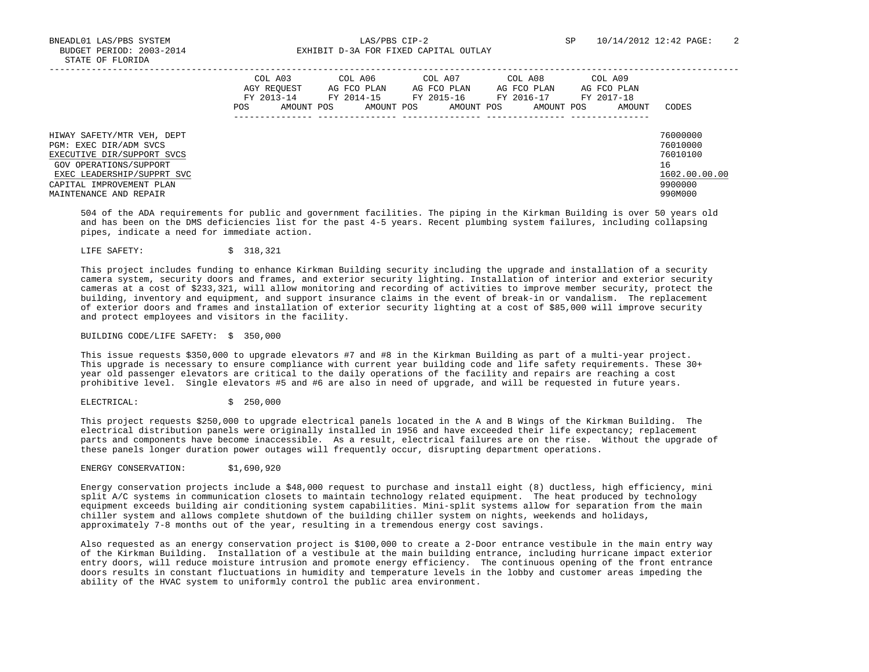|                                                                                                                                                                                                  | POS | COL A03<br>AGY REOUEST<br>FY 2013-14<br>AMOUNT POS | COL A06<br>AG FCO PLAN<br>FY 2014-15<br>AMOUNT POS | COL A07<br>AG FCO PLAN<br>FY 2015-16<br>AMOUNT POS | COL A08<br>AG FCO PLAN<br>FY 2016-17<br>AMOUNT POS | COL A09<br>AG FCO PLAN<br>FY 2017-18<br>AMOUNT | CODES                                                                         |
|--------------------------------------------------------------------------------------------------------------------------------------------------------------------------------------------------|-----|----------------------------------------------------|----------------------------------------------------|----------------------------------------------------|----------------------------------------------------|------------------------------------------------|-------------------------------------------------------------------------------|
| HIWAY SAFETY/MTR VEH, DEPT<br>PGM: EXEC DIR/ADM SVCS<br>EXECUTIVE DIR/SUPPORT SVCS<br>GOV OPERATIONS/SUPPORT<br>EXEC LEADERSHIP/SUPPRT SVC<br>CAPITAL IMPROVEMENT PLAN<br>MAINTENANCE AND REPAIR |     |                                                    |                                                    |                                                    |                                                    |                                                | 76000000<br>76010000<br>76010100<br>16<br>1602.00.00.00<br>9900000<br>990M000 |

 504 of the ADA requirements for public and government facilities. The piping in the Kirkman Building is over 50 years old and has been on the DMS deficiencies list for the past 4-5 years. Recent plumbing system failures, including collapsing pipes, indicate a need for immediate action.

LIFE SAFETY: \$ 318,321

 This project includes funding to enhance Kirkman Building security including the upgrade and installation of a security camera system, security doors and frames, and exterior security lighting. Installation of interior and exterior security cameras at a cost of \$233,321, will allow monitoring and recording of activities to improve member security, protect the building, inventory and equipment, and support insurance claims in the event of break-in or vandalism. The replacement of exterior doors and frames and installation of exterior security lighting at a cost of \$85,000 will improve security and protect employees and visitors in the facility.

## BUILDING CODE/LIFE SAFETY: \$ 350,000

 This issue requests \$350,000 to upgrade elevators #7 and #8 in the Kirkman Building as part of a multi-year project. This upgrade is necessary to ensure compliance with current year building code and life safety requirements. These 30+ year old passenger elevators are critical to the daily operations of the facility and repairs are reaching a cost prohibitive level. Single elevators #5 and #6 are also in need of upgrade, and will be requested in future years.

ELECTRICAL:  $\qquad \qquad$ \$250,000

 This project requests \$250,000 to upgrade electrical panels located in the A and B Wings of the Kirkman Building. The electrical distribution panels were originally installed in 1956 and have exceeded their life expectancy; replacement parts and components have become inaccessible. As a result, electrical failures are on the rise. Without the upgrade of these panels longer duration power outages will frequently occur, disrupting department operations.

ENERGY CONSERVATION: \$1,690,920

 Energy conservation projects include a \$48,000 request to purchase and install eight (8) ductless, high efficiency, mini split A/C systems in communication closets to maintain technology related equipment. The heat produced by technology equipment exceeds building air conditioning system capabilities. Mini-split systems allow for separation from the main chiller system and allows complete shutdown of the building chiller system on nights, weekends and holidays, approximately 7-8 months out of the year, resulting in a tremendous energy cost savings.

 Also requested as an energy conservation project is \$100,000 to create a 2-Door entrance vestibule in the main entry way of the Kirkman Building. Installation of a vestibule at the main building entrance, including hurricane impact exterior entry doors, will reduce moisture intrusion and promote energy efficiency. The continuous opening of the front entrance doors results in constant fluctuations in humidity and temperature levels in the lobby and customer areas impeding the ability of the HVAC system to uniformly control the public area environment.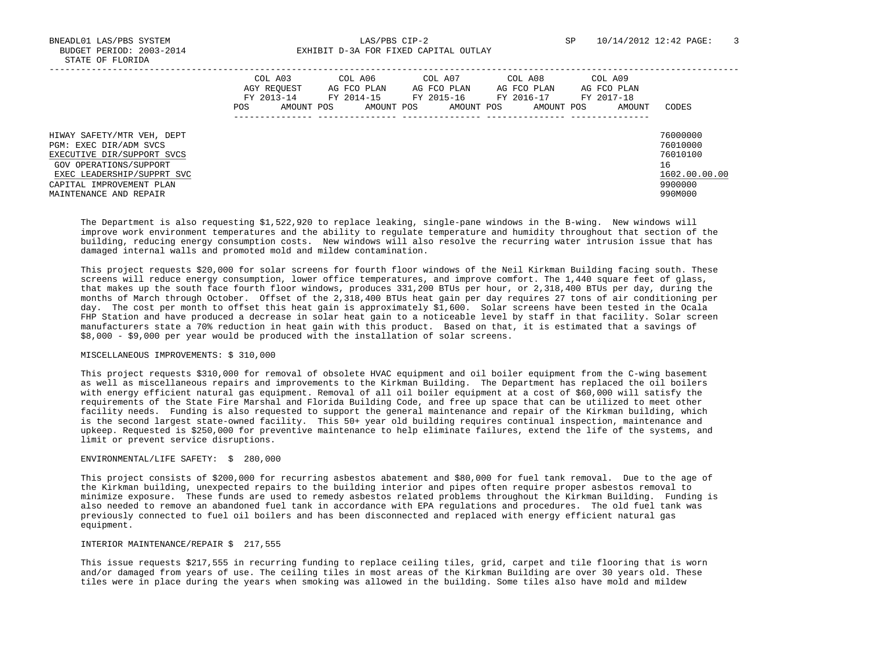BNEADL01 LAS/PBS SYSTEM LAS/PBS CIP-2 SP 10/14/2012 12:42 PAGE: 3 BUDGET PERIOD: 2003-2014 **EXHIBIT D-3A FOR FIXED CAPITAL OUTLAY** 

|                                                                                                                                                                                                  | POS | COL A03<br>AGY REOUEST<br>FY 2013-14<br>AMOUNT POS | COL A06<br>AG FCO PLAN<br>FY 2014-15<br>AMOUNT POS | COL A07<br>AG FCO PLAN<br>FY 2015-16<br>AMOUNT POS | COL A08<br>AG FCO PLAN<br>FY 2016-17<br>AMOUNT POS | COL A09<br>AG FCO PLAN<br>FY 2017-18<br>AMOUNT | CODES                                                                         |
|--------------------------------------------------------------------------------------------------------------------------------------------------------------------------------------------------|-----|----------------------------------------------------|----------------------------------------------------|----------------------------------------------------|----------------------------------------------------|------------------------------------------------|-------------------------------------------------------------------------------|
| HIWAY SAFETY/MTR VEH, DEPT<br>PGM: EXEC DIR/ADM SVCS<br>EXECUTIVE DIR/SUPPORT SVCS<br>GOV OPERATIONS/SUPPORT<br>EXEC LEADERSHIP/SUPPRT SVC<br>CAPITAL IMPROVEMENT PLAN<br>MAINTENANCE AND REPAIR |     |                                                    |                                                    |                                                    |                                                    |                                                | 76000000<br>76010000<br>76010100<br>16<br>1602.00.00.00<br>9900000<br>990M000 |

 The Department is also requesting \$1,522,920 to replace leaking, single-pane windows in the B-wing. New windows will improve work environment temperatures and the ability to regulate temperature and humidity throughout that section of the building, reducing energy consumption costs. New windows will also resolve the recurring water intrusion issue that has damaged internal walls and promoted mold and mildew contamination.

 This project requests \$20,000 for solar screens for fourth floor windows of the Neil Kirkman Building facing south. These screens will reduce energy consumption, lower office temperatures, and improve comfort. The 1,440 square feet of glass, that makes up the south face fourth floor windows, produces 331,200 BTUs per hour, or 2,318,400 BTUs per day, during the months of March through October. Offset of the 2,318,400 BTUs heat gain per day requires 27 tons of air conditioning per day. The cost per month to offset this heat gain is approximately \$1,600. Solar screens have been tested in the Ocala FHP Station and have produced a decrease in solar heat gain to a noticeable level by staff in that facility. Solar screen manufacturers state a 70% reduction in heat gain with this product. Based on that, it is estimated that a savings of \$8,000 - \$9,000 per year would be produced with the installation of solar screens.

# MISCELLANEOUS IMPROVEMENTS: \$ 310,000

 This project requests \$310,000 for removal of obsolete HVAC equipment and oil boiler equipment from the C-wing basement as well as miscellaneous repairs and improvements to the Kirkman Building. The Department has replaced the oil boilers with energy efficient natural gas equipment. Removal of all oil boiler equipment at a cost of \$60,000 will satisfy the requirements of the State Fire Marshal and Florida Building Code, and free up space that can be utilized to meet other facility needs. Funding is also requested to support the general maintenance and repair of the Kirkman building, which is the second largest state-owned facility. This 50+ year old building requires continual inspection, maintenance and upkeep. Requested is \$250,000 for preventive maintenance to help eliminate failures, extend the life of the systems, and limit or prevent service disruptions.

#### ENVIRONMENTAL/LIFE SAFETY: \$ 280,000

 This project consists of \$200,000 for recurring asbestos abatement and \$80,000 for fuel tank removal. Due to the age of the Kirkman building, unexpected repairs to the building interior and pipes often require proper asbestos removal to minimize exposure. These funds are used to remedy asbestos related problems throughout the Kirkman Building. Funding is also needed to remove an abandoned fuel tank in accordance with EPA regulations and procedures. The old fuel tank was previously connected to fuel oil boilers and has been disconnected and replaced with energy efficient natural gas equipment.

#### INTERIOR MAINTENANCE/REPAIR \$ 217,555

 This issue requests \$217,555 in recurring funding to replace ceiling tiles, grid, carpet and tile flooring that is worn and/or damaged from years of use. The ceiling tiles in most areas of the Kirkman Building are over 30 years old. These tiles were in place during the years when smoking was allowed in the building. Some tiles also have mold and mildew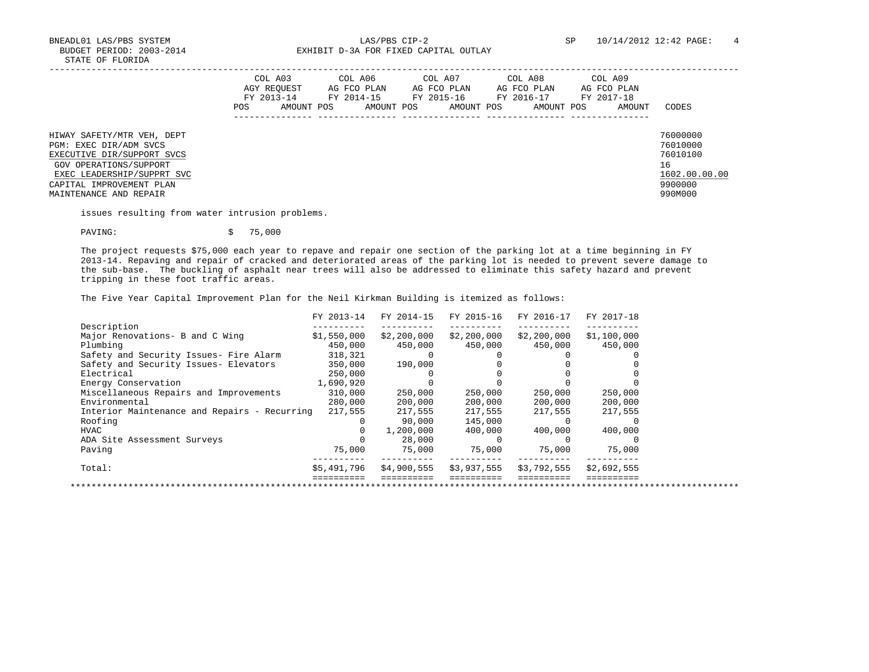BNEADL01 LAS/PBS SYSTEM  $\,$  LAS/PBS CIP-2  $\,$  SP  $\,$  10/14/2012 12:42 PAGE: 4  $\,$  BUDGET PERIOD: 2003-2014  $\,$  EXHIBIT D-3A FOR FIXED CAPITAL OUTLAY EXHIBIT D-3A FOR FIXED CAPITAL OUTLAY

|                                                                                                                                                                                                  | <b>POS</b> | COL A03<br>AGY REOUEST<br>FY 2013-14<br>AMOUNT POS | COL A06 | AG FCO PLAN<br>FY 2014-15<br>AMOUNT POS | COL A07 | AG FCO PLAN<br>FY 2015-16<br>AMOUNT POS | COL A08<br>AG FCO PLAN<br>FY 2016-17<br>AMOUNT POS | COL A09<br>AG FCO PLAN<br>FY 2017-18<br>AMOUNT | CODES                                                                         |
|--------------------------------------------------------------------------------------------------------------------------------------------------------------------------------------------------|------------|----------------------------------------------------|---------|-----------------------------------------|---------|-----------------------------------------|----------------------------------------------------|------------------------------------------------|-------------------------------------------------------------------------------|
| HIWAY SAFETY/MTR VEH, DEPT<br>PGM: EXEC DIR/ADM SVCS<br>EXECUTIVE DIR/SUPPORT SVCS<br>GOV OPERATIONS/SUPPORT<br>EXEC LEADERSHIP/SUPPRT SVC<br>CAPITAL IMPROVEMENT PLAN<br>MAINTENANCE AND REPAIR |            |                                                    |         |                                         |         |                                         |                                                    |                                                | 76000000<br>76010000<br>76010100<br>16<br>1602.00.00.00<br>9900000<br>990M000 |

issues resulting from water intrusion problems.

PAVING:  $\qquad \qquad$  75,000

 The project requests \$75,000 each year to repave and repair one section of the parking lot at a time beginning in FY 2013-14. Repaving and repair of cracked and deteriorated areas of the parking lot is needed to prevent severe damage to the sub-base. The buckling of asphalt near trees will also be addressed to eliminate this safety hazard and prevent tripping in these foot traffic areas.

The Five Year Capital Improvement Plan for the Neil Kirkman Building is itemized as follows: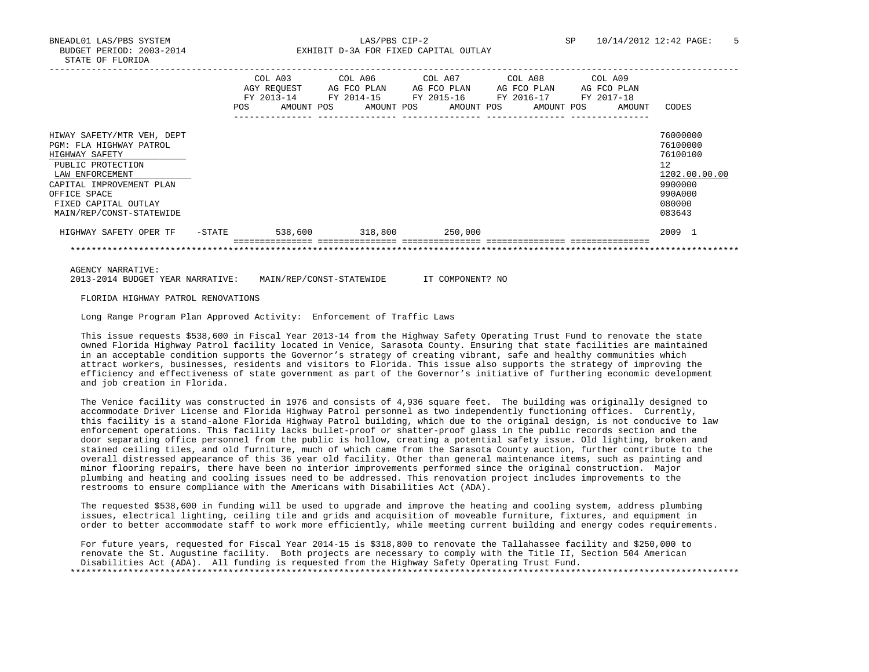BNEADL01 LAS/PBS SYSTEM LAS/PBS CIP-2 SP 10/14/2012 12:42 PAGE: 5 BUDGET PERIOD: 2003-2014 **EXHIBIT D-3A FOR FIXED CAPITAL OUTLAY** 

|                                                                                                                                                                                                                 | <b>POS</b> | COL A03<br>AGY REOUEST<br>FY 2013-14<br>AMOUNT POS | COL A06<br>AG FCO PLAN<br>FY 2014-15 | AMOUNT POS | COL A07<br>AG FCO PLAN<br>FY 2015-16 | AMOUNT POS | COL A08<br>FY 2016-17 | AG FCO PLAN<br>AMOUNT POS | COL A09<br>FY 2017-18 | AG FCO PLAN<br>AMOUNT | CODES                                                                                             |
|-----------------------------------------------------------------------------------------------------------------------------------------------------------------------------------------------------------------|------------|----------------------------------------------------|--------------------------------------|------------|--------------------------------------|------------|-----------------------|---------------------------|-----------------------|-----------------------|---------------------------------------------------------------------------------------------------|
| HIWAY SAFETY/MTR VEH, DEPT<br>PGM: FLA HIGHWAY PATROL<br>HIGHWAY SAFETY<br>PUBLIC PROTECTION<br>LAW ENFORCEMENT<br>CAPITAL IMPROVEMENT PLAN<br>OFFICE SPACE<br>FIXED CAPITAL OUTLAY<br>MAIN/REP/CONST-STATEWIDE |            |                                                    |                                      |            |                                      |            |                       |                           |                       |                       | 76000000<br>76100000<br>76100100<br>12<br>1202.00.00.00<br>9900000<br>990A000<br>080000<br>083643 |
| HIGHWAY SAFETY OPER TF                                                                                                                                                                                          | -STATE     | 538,600                                            |                                      | 318,800    |                                      | 250,000    |                       |                           |                       |                       | 2009 1                                                                                            |
|                                                                                                                                                                                                                 |            |                                                    |                                      |            |                                      |            |                       |                           |                       |                       |                                                                                                   |

AGENCY NARRATIVE:

2013-2014 BUDGET YEAR NARRATIVE: MAIN/REP/CONST-STATEWIDE IT COMPONENT? NO

FLORIDA HIGHWAY PATROL RENOVATIONS

Long Range Program Plan Approved Activity: Enforcement of Traffic Laws

 This issue requests \$538,600 in Fiscal Year 2013-14 from the Highway Safety Operating Trust Fund to renovate the state owned Florida Highway Patrol facility located in Venice, Sarasota County. Ensuring that state facilities are maintained in an acceptable condition supports the Governor's strategy of creating vibrant, safe and healthy communities which attract workers, businesses, residents and visitors to Florida. This issue also supports the strategy of improving the efficiency and effectiveness of state government as part of the Governor's initiative of furthering economic development and job creation in Florida.

The Venice facility was constructed in 1976 and consists of 4,936 square feet. The building was originally designed to accommodate Driver License and Florida Highway Patrol personnel as two independently functioning offices. Currently, this facility is a stand-alone Florida Highway Patrol building, which due to the original design, is not conducive to law enforcement operations. This facility lacks bullet-proof or shatter-proof glass in the public records section and the door separating office personnel from the public is hollow, creating a potential safety issue. Old lighting, broken and stained ceiling tiles, and old furniture, much of which came from the Sarasota County auction, further contribute to the overall distressed appearance of this 36 year old facility. Other than general maintenance items, such as painting and minor flooring repairs, there have been no interior improvements performed since the original construction. Major plumbing and heating and cooling issues need to be addressed. This renovation project includes improvements to the restrooms to ensure compliance with the Americans with Disabilities Act (ADA).

 The requested \$538,600 in funding will be used to upgrade and improve the heating and cooling system, address plumbing issues, electrical lighting, ceiling tile and grids and acquisition of moveable furniture, fixtures, and equipment in order to better accommodate staff to work more efficiently, while meeting current building and energy codes requirements.

 For future years, requested for Fiscal Year 2014-15 is \$318,800 to renovate the Tallahassee facility and \$250,000 to renovate the St. Augustine facility. Both projects are necessary to comply with the Title II, Section 504 American Disabilities Act (ADA). All funding is requested from the Highway Safety Operating Trust Fund. \*\*\*\*\*\*\*\*\*\*\*\*\*\*\*\*\*\*\*\*\*\*\*\*\*\*\*\*\*\*\*\*\*\*\*\*\*\*\*\*\*\*\*\*\*\*\*\*\*\*\*\*\*\*\*\*\*\*\*\*\*\*\*\*\*\*\*\*\*\*\*\*\*\*\*\*\*\*\*\*\*\*\*\*\*\*\*\*\*\*\*\*\*\*\*\*\*\*\*\*\*\*\*\*\*\*\*\*\*\*\*\*\*\*\*\*\*\*\*\*\*\*\*\*\*\*\*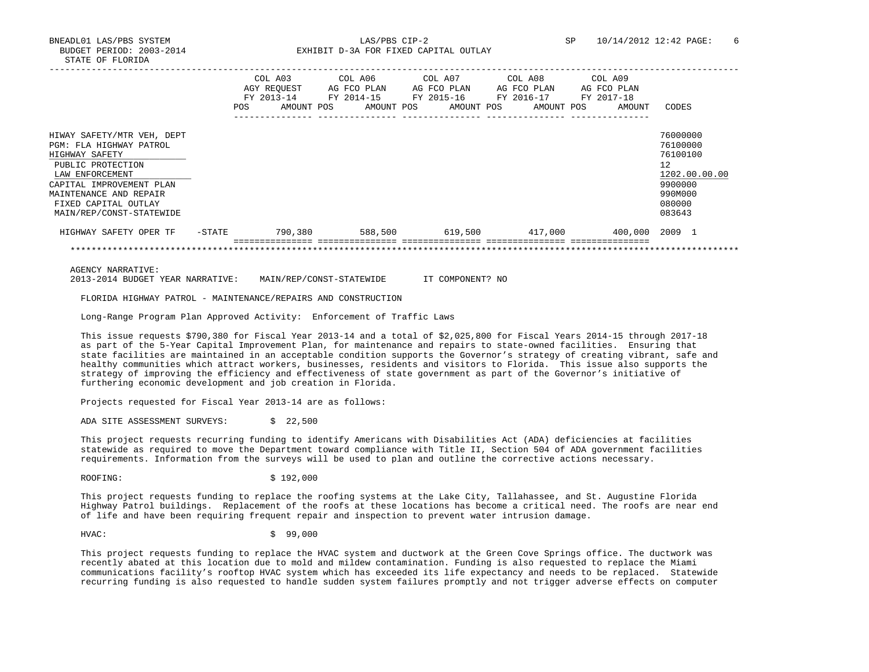|                                                       | <b>POS</b> | COL A03<br>AGY REOUEST<br>FY 2013-14<br>AMOUNT POS | COL A06<br>AG FCO PLAN<br>FY 2014-15 | COL A07<br>AG FCO PLAN<br>FY 2015-16<br>AMOUNT POS<br>AMOUNT POS | COL A08<br>AG FCO PLAN<br>FY 2016-17<br>AMOUNT POS | COL A09<br>AG FCO PLAN<br>FY 2017-18<br>AMOUNT | CODES                |
|-------------------------------------------------------|------------|----------------------------------------------------|--------------------------------------|------------------------------------------------------------------|----------------------------------------------------|------------------------------------------------|----------------------|
|                                                       |            |                                                    |                                      |                                                                  |                                                    |                                                |                      |
| HIWAY SAFETY/MTR VEH, DEPT<br>PGM: FLA HIGHWAY PATROL |            |                                                    |                                      |                                                                  |                                                    |                                                | 76000000<br>76100000 |
| HIGHWAY SAFETY                                        |            |                                                    |                                      |                                                                  |                                                    |                                                | 76100100             |
| PUBLIC PROTECTION<br>LAW ENFORCEMENT                  |            |                                                    |                                      |                                                                  |                                                    |                                                | 12<br>1202.00.00.00  |
| CAPITAL IMPROVEMENT PLAN<br>MAINTENANCE AND REPAIR    |            |                                                    |                                      |                                                                  |                                                    |                                                | 9900000<br>990M000   |
| FIXED CAPITAL OUTLAY                                  |            |                                                    |                                      |                                                                  |                                                    |                                                | 080000               |
| MAIN/REP/CONST-STATEWIDE                              |            |                                                    |                                      |                                                                  |                                                    |                                                | 083643               |
| HIGHWAY SAFETY OPER TF                                | -STATE     | 790,380                                            | 588,500                              | 619,500                                                          | 417,000                                            | 400,000                                        | 2009 1               |
|                                                       |            |                                                    |                                      |                                                                  |                                                    |                                                |                      |

AGENCY NARRATIVE:

2013-2014 BUDGET YEAR NARRATIVE: MAIN/REP/CONST-STATEWIDE IT COMPONENT? NO

FLORIDA HIGHWAY PATROL - MAINTENANCE/REPAIRS AND CONSTRUCTION

Long-Range Program Plan Approved Activity: Enforcement of Traffic Laws

 This issue requests \$790,380 for Fiscal Year 2013-14 and a total of \$2,025,800 for Fiscal Years 2014-15 through 2017-18 as part of the 5-Year Capital Improvement Plan, for maintenance and repairs to state-owned facilities. Ensuring that state facilities are maintained in an acceptable condition supports the Governor's strategy of creating vibrant, safe and healthy communities which attract workers, businesses, residents and visitors to Florida. This issue also supports the strategy of improving the efficiency and effectiveness of state government as part of the Governor's initiative of furthering economic development and job creation in Florida.

Projects requested for Fiscal Year 2013-14 are as follows:

ADA SITE ASSESSMENT SURVEYS: \$ 22,500

 This project requests recurring funding to identify Americans with Disabilities Act (ADA) deficiencies at facilities statewide as required to move the Department toward compliance with Title II, Section 504 of ADA government facilities requirements. Information from the surveys will be used to plan and outline the corrective actions necessary.

ROOFING: \$192,000

 This project requests funding to replace the roofing systems at the Lake City, Tallahassee, and St. Augustine Florida Highway Patrol buildings. Replacement of the roofs at these locations has become a critical need. The roofs are near end of life and have been requiring frequent repair and inspection to prevent water intrusion damage.

HVAC: \$ 99,000

 This project requests funding to replace the HVAC system and ductwork at the Green Cove Springs office. The ductwork was recently abated at this location due to mold and mildew contamination. Funding is also requested to replace the Miami communications facility's rooftop HVAC system which has exceeded its life expectancy and needs to be replaced. Statewide recurring funding is also requested to handle sudden system failures promptly and not trigger adverse effects on computer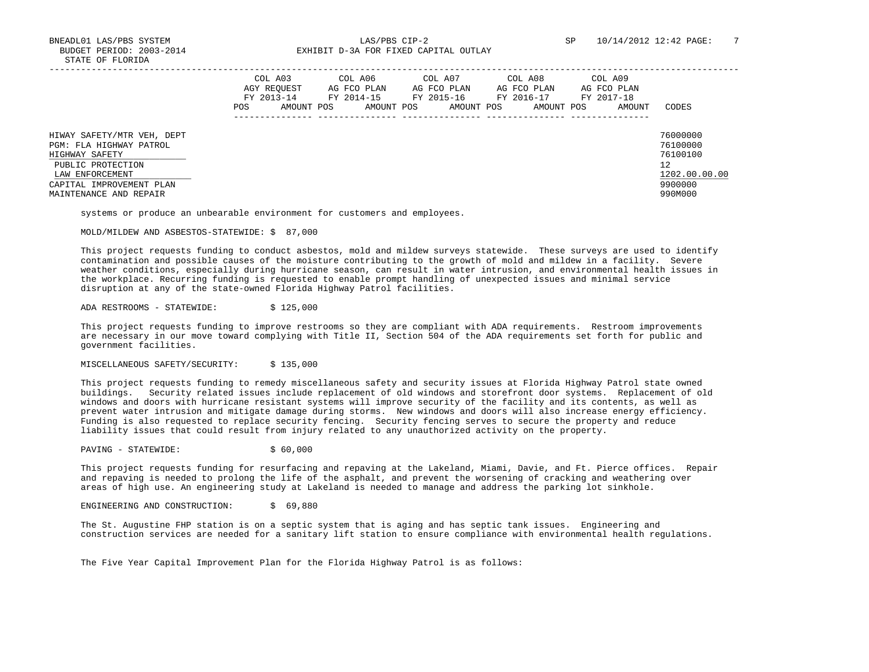|                                                                                                                 | COL A03<br>AGY REOUEST<br>FY 2013-14<br>AMOUNT POS<br>POS | COL A06<br>AG FCO PLAN<br>FY 2014-15<br>AMOUNT POS | COL A07<br>AG FCO PLAN<br>FY 2015-16<br>AMOUNT POS | COL A08<br>AG FCO PLAN<br>FY 2016-17<br>AMOUNT POS | COL A09<br>AG FCO PLAN<br>FY 2017-18<br>AMOUNT | CODES                                                   |
|-----------------------------------------------------------------------------------------------------------------|-----------------------------------------------------------|----------------------------------------------------|----------------------------------------------------|----------------------------------------------------|------------------------------------------------|---------------------------------------------------------|
| HIWAY SAFETY/MTR VEH, DEPT<br>PGM: FLA HIGHWAY PATROL<br>HIGHWAY SAFETY<br>PUBLIC PROTECTION<br>LAW ENFORCEMENT |                                                           |                                                    |                                                    |                                                    |                                                | 76000000<br>76100000<br>76100100<br>12<br>1202.00.00.00 |
| CAPITAL IMPROVEMENT PLAN<br>MAINTENANCE AND REPAIR                                                              |                                                           |                                                    |                                                    |                                                    |                                                | 9900000<br>990M000                                      |

systems or produce an unbearable environment for customers and employees.

MOLD/MILDEW AND ASBESTOS-STATEWIDE: \$ 87,000

 This project requests funding to conduct asbestos, mold and mildew surveys statewide. These surveys are used to identify contamination and possible causes of the moisture contributing to the growth of mold and mildew in a facility. Severe weather conditions, especially during hurricane season, can result in water intrusion, and environmental health issues in the workplace. Recurring funding is requested to enable prompt handling of unexpected issues and minimal service disruption at any of the state-owned Florida Highway Patrol facilities.

ADA RESTROOMS - STATEWIDE: \$ 125,000

 This project requests funding to improve restrooms so they are compliant with ADA requirements. Restroom improvements are necessary in our move toward complying with Title II, Section 504 of the ADA requirements set forth for public and government facilities.

MISCELLANEOUS SAFETY/SECURITY: \$ 135,000

 This project requests funding to remedy miscellaneous safety and security issues at Florida Highway Patrol state owned buildings. Security related issues include replacement of old windows and storefront door systems. Replacement of old windows and doors with hurricane resistant systems will improve security of the facility and its contents, as well as prevent water intrusion and mitigate damage during storms. New windows and doors will also increase energy efficiency. Funding is also requested to replace security fencing. Security fencing serves to secure the property and reduce liability issues that could result from injury related to any unauthorized activity on the property.

PAVING - STATEWIDE:  $\angle$  \$ 60,000

 This project requests funding for resurfacing and repaving at the Lakeland, Miami, Davie, and Ft. Pierce offices. Repair and repaving is needed to prolong the life of the asphalt, and prevent the worsening of cracking and weathering over areas of high use. An engineering study at Lakeland is needed to manage and address the parking lot sinkhole.

ENGINEERING AND CONSTRUCTION: \$ 69,880

 The St. Augustine FHP station is on a septic system that is aging and has septic tank issues. Engineering and construction services are needed for a sanitary lift station to ensure compliance with environmental health regulations.

The Five Year Capital Improvement Plan for the Florida Highway Patrol is as follows: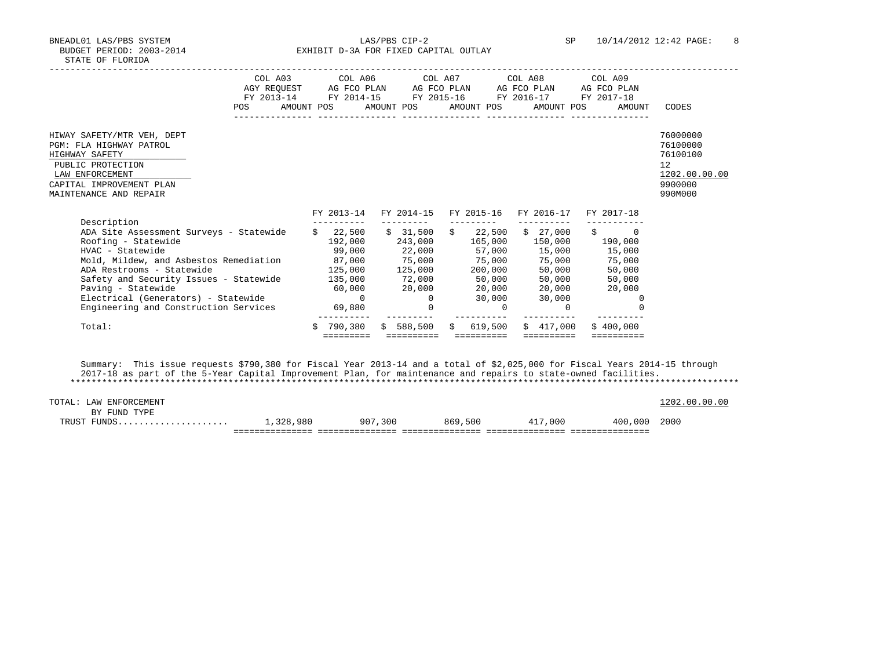BNEADL01 LAS/PBS SYSTEM LAS/PBS CIP-2 SP 10/14/2012 12:42 PAGE: 8 BUDGET PERIOD: 2003-2014 **EXHIBIT D-3A FOR FIXED CAPITAL OUTLAY** 

| <b>POS</b>                                                                                                                                                                                                                                                                                                                      | COL A03 COL A06 COL A07 COL A08<br>COL A09<br>AGY REQUEST AG FCO PLAN AG FCO PLAN AG FCO PLAN<br>AG FCO PLAN<br>FY 2013-14 FY 2014-15<br>FY 2015-16 FY 2016-17<br>FY 2017-18<br>AMOUNT POS AMOUNT POS AMOUNT POS AMOUNT POS AMOUNT                                                                                                                                                                                                                                                                                       | CODES                                                                         |
|---------------------------------------------------------------------------------------------------------------------------------------------------------------------------------------------------------------------------------------------------------------------------------------------------------------------------------|--------------------------------------------------------------------------------------------------------------------------------------------------------------------------------------------------------------------------------------------------------------------------------------------------------------------------------------------------------------------------------------------------------------------------------------------------------------------------------------------------------------------------|-------------------------------------------------------------------------------|
| HIWAY SAFETY/MTR VEH, DEPT<br>PGM: FLA HIGHWAY PATROL<br>HIGHWAY SAFETY<br>PUBLIC PROTECTION<br>LAW ENFORCEMENT<br>CAPITAL IMPROVEMENT PLAN<br>MAINTENANCE AND REPAIR                                                                                                                                                           |                                                                                                                                                                                                                                                                                                                                                                                                                                                                                                                          | 76000000<br>76100000<br>76100100<br>12<br>1202.00.00.00<br>9900000<br>990M000 |
| Description<br>ADA Site Assessment Surveys - Statewide<br>Roofing - Statewide<br>HVAC - Statewide<br>Mold, Mildew, and Asbestos Remediation 87,000<br>ADA Restrooms - Statewide<br>Safety and Security Issues - Statewide<br>Paving - Statewide<br>Electrical (Generators) - Statewide<br>Engineering and Construction Services | FY 2013-14<br>FY 2014-15<br>FY 2015-16 FY 2016-17<br>FY 2017-18<br>$\frac{1}{2}$ 22,500 \$ 31,500 \$ 22,500 \$ 27,000 \$<br>$\Omega$<br>243,000 165,000 150,000 190,000<br>192,000<br>22,000 57,000 15,000 15,000<br>99,000<br>75,000 75,000 75,000 75,000<br>$125,000$ $125,000$ $200,000$<br>50,000<br>50,000<br>$72,000$ 50,000 50,000 50,000<br>135,000<br>60,000<br>20,000  20,000  20,000  20,000<br>$\overline{0}$<br>$\sim$ 0<br>30,000<br>30,000<br>0<br>69,880<br>$\Omega$<br>$\Omega$<br>$\Omega$<br>$\Omega$ |                                                                               |
| Total:                                                                                                                                                                                                                                                                                                                          | 790,380<br>\$588.500<br>\$417.000<br>619,500<br>\$400.000<br>Ŝ.<br>$\mathsf{S}$<br>=========<br>==========<br>==========                                                                                                                                                                                                                                                                                                                                                                                                 |                                                                               |

 Summary: This issue requests \$790,380 for Fiscal Year 2013-14 and a total of \$2,025,000 for Fiscal Years 2014-15 through 2017-18 as part of the 5-Year Capital Improvement Plan, for maintenance and repairs to state-owned facilities. \*\*\*\*\*\*\*\*\*\*\*\*\*\*\*\*\*\*\*\*\*\*\*\*\*\*\*\*\*\*\*\*\*\*\*\*\*\*\*\*\*\*\*\*\*\*\*\*\*\*\*\*\*\*\*\*\*\*\*\*\*\*\*\*\*\*\*\*\*\*\*\*\*\*\*\*\*\*\*\*\*\*\*\*\*\*\*\*\*\*\*\*\*\*\*\*\*\*\*\*\*\*\*\*\*\*\*\*\*\*\*\*\*\*\*\*\*\*\*\*\*\*\*\*\*\*\*

| TOTAL: LAW ENFORCEMENT |           |         |         |         |              | 1202.00.00.00 |
|------------------------|-----------|---------|---------|---------|--------------|---------------|
| BY FUND TYPE           |           |         |         |         |              |               |
| TRUST FUNDS            | 1,328,980 | 907,300 | 869,500 | 417,000 | 400,000 2000 |               |
|                        |           |         |         |         |              |               |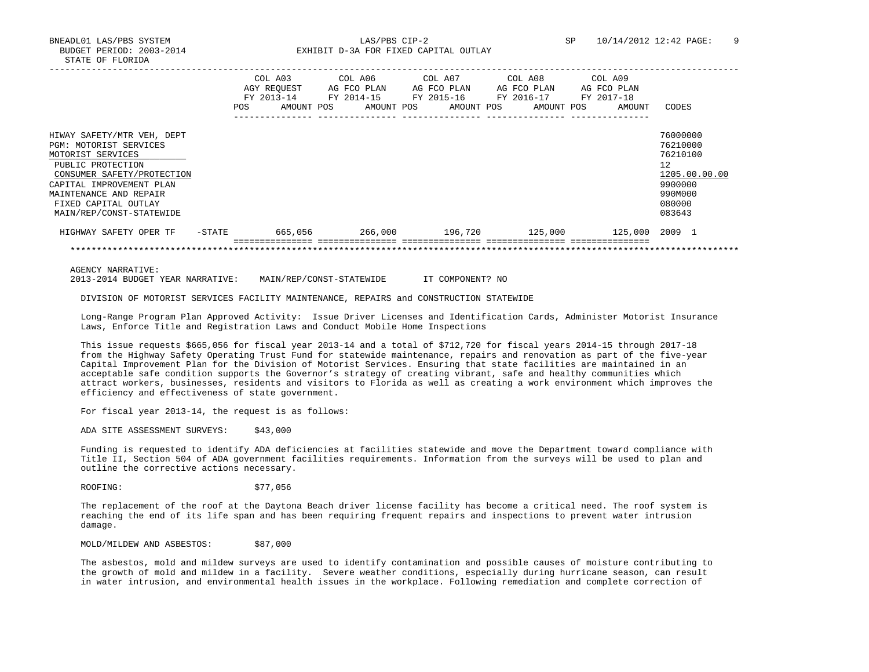|                                                                                                                                                                                                                                        | <b>POS</b> | COL A03<br>AGY REOUEST<br>FY 2013-14<br>AMOUNT POS | AG FCO PLAN<br>FY 2014-15<br>AMOUNT POS | COL A06 COL A07<br>AG FCO PLAN<br>FY 2015-16<br>AMOUNT POS | COL A08<br>AG FCO PLAN<br>FY 2016-17<br>AMOUNT POS | COL A09<br>AG FCO PLAN<br>FY 2017-18<br>AMOUNT | CODES                                                                                                       |
|----------------------------------------------------------------------------------------------------------------------------------------------------------------------------------------------------------------------------------------|------------|----------------------------------------------------|-----------------------------------------|------------------------------------------------------------|----------------------------------------------------|------------------------------------------------|-------------------------------------------------------------------------------------------------------------|
| HIWAY SAFETY/MTR VEH, DEPT<br>PGM: MOTORIST SERVICES<br>MOTORIST SERVICES<br>PUBLIC PROTECTION<br>CONSUMER SAFETY/PROTECTION<br>CAPITAL IMPROVEMENT PLAN<br>MAINTENANCE AND REPAIR<br>FIXED CAPITAL OUTLAY<br>MAIN/REP/CONST-STATEWIDE |            |                                                    |                                         |                                                            |                                                    |                                                | 76000000<br>76210000<br>76210100<br>$12^{\circ}$<br>1205.00.00.00<br>9900000<br>990M000<br>080000<br>083643 |
| HIGHWAY SAFETY OPER TF                                                                                                                                                                                                                 | -STATE     | 665,056                                            |                                         | 266,000 196,720                                            | 125,000                                            | 125,000 2009 1                                 |                                                                                                             |
|                                                                                                                                                                                                                                        |            |                                                    |                                         |                                                            |                                                    |                                                |                                                                                                             |

AGENCY NARRATIVE:

2013-2014 BUDGET YEAR NARRATIVE: MAIN/REP/CONST-STATEWIDE IT COMPONENT? NO

DIVISION OF MOTORIST SERVICES FACILITY MAINTENANCE, REPAIRS and CONSTRUCTION STATEWIDE

 Long-Range Program Plan Approved Activity: Issue Driver Licenses and Identification Cards, Administer Motorist Insurance Laws, Enforce Title and Registration Laws and Conduct Mobile Home Inspections

 This issue requests \$665,056 for fiscal year 2013-14 and a total of \$712,720 for fiscal years 2014-15 through 2017-18 from the Highway Safety Operating Trust Fund for statewide maintenance, repairs and renovation as part of the five-year Capital Improvement Plan for the Division of Motorist Services. Ensuring that state facilities are maintained in an acceptable safe condition supports the Governor's strategy of creating vibrant, safe and healthy communities which attract workers, businesses, residents and visitors to Florida as well as creating a work environment which improves the efficiency and effectiveness of state government.

For fiscal year 2013-14, the request is as follows:

ADA SITE ASSESSMENT SURVEYS: \$43,000

 Funding is requested to identify ADA deficiencies at facilities statewide and move the Department toward compliance with Title II, Section 504 of ADA government facilities requirements. Information from the surveys will be used to plan and outline the corrective actions necessary.

ROOFING: \$77,056

 The replacement of the roof at the Daytona Beach driver license facility has become a critical need. The roof system is reaching the end of its life span and has been requiring frequent repairs and inspections to prevent water intrusion damage.

MOLD/MILDEW AND ASBESTOS: \$87,000

 The asbestos, mold and mildew surveys are used to identify contamination and possible causes of moisture contributing to the growth of mold and mildew in a facility. Severe weather conditions, especially during hurricane season, can result in water intrusion, and environmental health issues in the workplace. Following remediation and complete correction of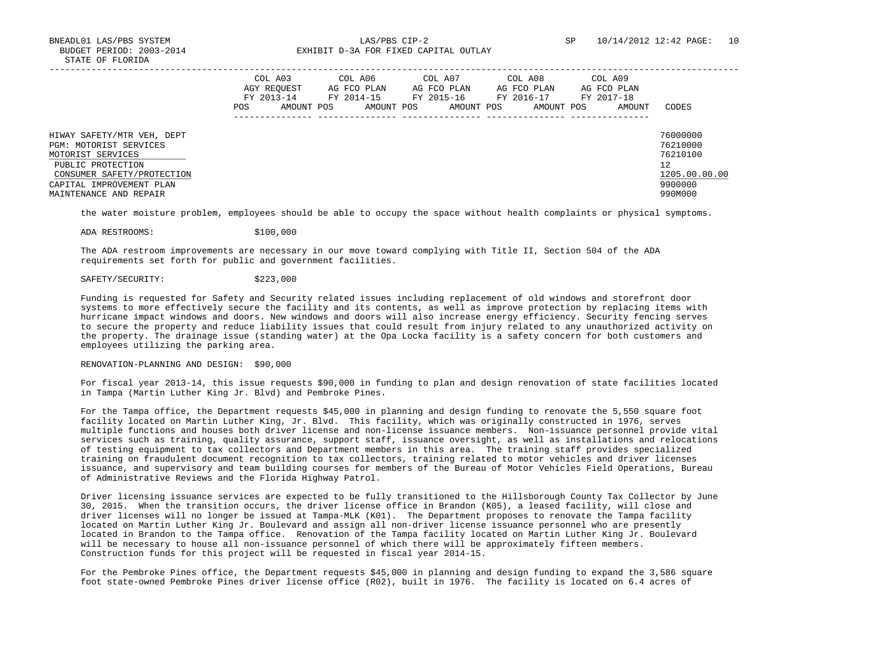BNEADL01 LAS/PBS SYSTEM LAS/PBS CIP-2 SP 10/14/2012 12:42 PAGE: 10 BUDGET PERIOD: 2003-2014 **EXHIBIT D-3A FOR FIXED CAPITAL OUTLAY** 

|                                                                                                                                                                                    | POS | COL A03<br>AGY REOUEST<br>FY 2013-14<br>AMOUNT POS | COL A06<br>AG FCO PLAN<br>FY 2014-15<br>AMOUNT POS | COL A07<br>AG FCO PLAN<br>FY 2015-16<br>AMOUNT POS | COL A08<br>AG FCO PLAN<br>FY 2016-17<br>AMOUNT POS | COL A09<br>AG FCO PLAN<br>FY 2017-18<br>AMOUNT | CODES                                                                         |
|------------------------------------------------------------------------------------------------------------------------------------------------------------------------------------|-----|----------------------------------------------------|----------------------------------------------------|----------------------------------------------------|----------------------------------------------------|------------------------------------------------|-------------------------------------------------------------------------------|
| HIWAY SAFETY/MTR VEH, DEPT<br>PGM: MOTORIST SERVICES<br>MOTORIST SERVICES<br>PUBLIC PROTECTION<br>CONSUMER SAFETY/PROTECTION<br>CAPITAL IMPROVEMENT PLAN<br>MAINTENANCE AND REPAIR |     |                                                    |                                                    |                                                    |                                                    |                                                | 76000000<br>76210000<br>76210100<br>12<br>1205.00.00.00<br>9900000<br>990M000 |

the water moisture problem, employees should be able to occupy the space without health complaints or physical symptoms.

ADA RESTROOMS: \$100,000

 The ADA restroom improvements are necessary in our move toward complying with Title II, Section 504 of the ADA requirements set forth for public and government facilities.

## SAFETY/SECURITY: \$223,000

 Funding is requested for Safety and Security related issues including replacement of old windows and storefront door systems to more effectively secure the facility and its contents, as well as improve protection by replacing items with hurricane impact windows and doors. New windows and doors will also increase energy efficiency. Security fencing serves to secure the property and reduce liability issues that could result from injury related to any unauthorized activity on the property. The drainage issue (standing water) at the Opa Locka facility is a safety concern for both customers and employees utilizing the parking area.

# RENOVATION-PLANNING AND DESIGN: \$90,000

 For fiscal year 2013-14, this issue requests \$90,000 in funding to plan and design renovation of state facilities located in Tampa (Martin Luther King Jr. Blvd) and Pembroke Pines.

 For the Tampa office, the Department requests \$45,000 in planning and design funding to renovate the 5,550 square foot facility located on Martin Luther King, Jr. Blvd. This facility, which was originally constructed in 1976, serves multiple functions and houses both driver license and non-license issuance members. Non-issuance personnel provide vital services such as training, quality assurance, support staff, issuance oversight, as well as installations and relocations of testing equipment to tax collectors and Department members in this area. The training staff provides specialized training on fraudulent document recognition to tax collectors, training related to motor vehicles and driver licenses issuance, and supervisory and team building courses for members of the Bureau of Motor Vehicles Field Operations, Bureau of Administrative Reviews and the Florida Highway Patrol.

 Driver licensing issuance services are expected to be fully transitioned to the Hillsborough County Tax Collector by June 30, 2015. When the transition occurs, the driver license office in Brandon (K05), a leased facility, will close and driver licenses will no longer be issued at Tampa-MLK (K01). The Department proposes to renovate the Tampa facility located on Martin Luther King Jr. Boulevard and assign all non-driver license issuance personnel who are presently located in Brandon to the Tampa office. Renovation of the Tampa facility located on Martin Luther King Jr. Boulevard will be necessary to house all non-issuance personnel of which there will be approximately fifteen members. Construction funds for this project will be requested in fiscal year 2014-15.

 For the Pembroke Pines office, the Department requests \$45,000 in planning and design funding to expand the 3,586 square foot state-owned Pembroke Pines driver license office (R02), built in 1976. The facility is located on 6.4 acres of